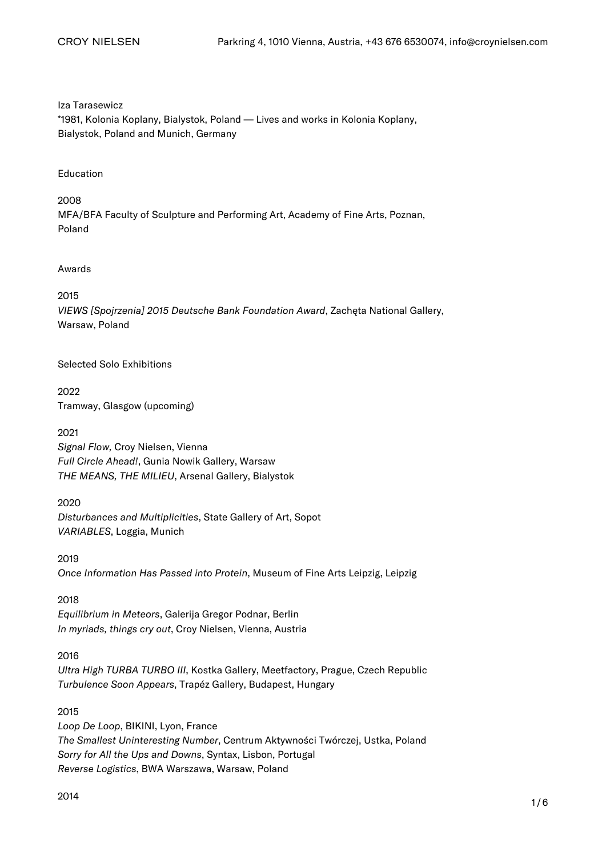Iza Tarasewicz

\*1981, Kolonia Koplany, Bialystok, Poland — Lives and works in Kolonia Koplany, Bialystok, Poland and Munich, Germany

Education

2008 MFA/BFA Faculty of Sculpture and Performing Art, Academy of Fine Arts, Poznan, Poland

Awards

2015 VIEWS [Spojrzenia] 2015 Deutsche Bank Foundation Award, Zachęta National Gallery, Warsaw, Poland

Selected Solo Exhibitions

2022 Tramway, Glasgow (upcoming)

2021 Signal Flow, Croy Nielsen, Vienna Full Circle Ahead!, Gunia Nowik Gallery, Warsaw THE MEANS, THE MILIEU, Arsenal Gallery, Bialystok

2020 Disturbances and Multiplicities, State Gallery of Art, Sopot VARIABLES, Loggia, Munich

2019 Once Information Has Passed into Protein, Museum of Fine Arts Leipzig, Leipzig

2018 Equilibrium in Meteors, Galerija Gregor Podnar, Berlin In myriads, things cry out, Croy Nielsen, Vienna, Austria

2016 Ultra High TURBA TURBO III, Kostka Gallery, Meetfactory, Prague, Czech Republic Turbulence Soon Appears, Trapéz Gallery, Budapest, Hungary

2015 Loop De Loop, BIKINI, Lyon, France The Smallest Uninteresting Number, Centrum Aktywności Twórczej, Ustka, Poland Sorry for All the Ups and Downs, Syntax, Lisbon, Portugal Reverse Logistics, BWA Warszawa, Warsaw, Poland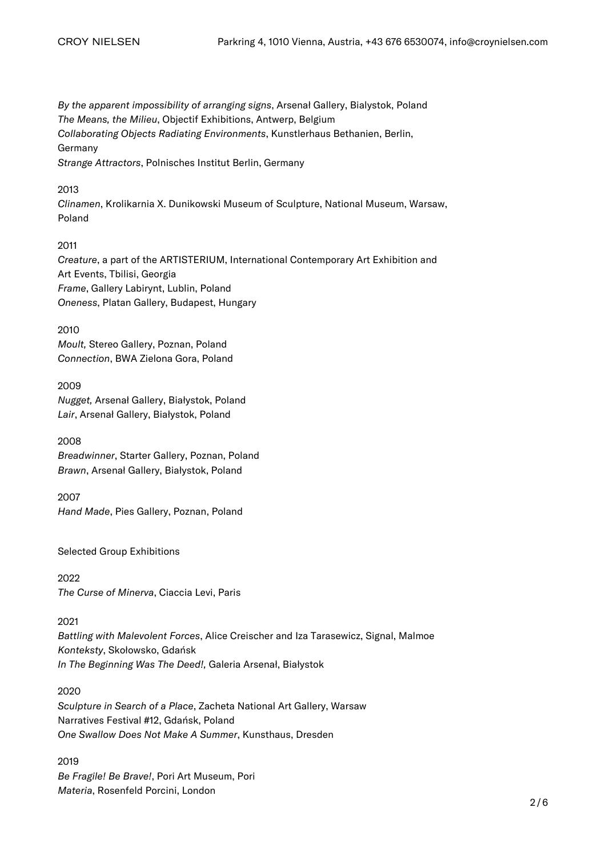By the apparent impossibility of arranging signs, Arsenał Gallery, Bialystok, Poland The Means, the Milieu, Objectif Exhibitions, Antwerp, Belgium Collaborating Objects Radiating Environments, Kunstlerhaus Bethanien, Berlin, Germany Strange Attractors, Polnisches Institut Berlin, Germany

## 2013

Clinamen, Krolikarnia X. Dunikowski Museum of Sculpture, National Museum, Warsaw, Poland

## 2011

Creature, a part of the ARTISTERIUM, International Contemporary Art Exhibition and Art Events, Tbilisi, Georgia Frame, Gallery Labirynt, Lublin, Poland Oneness, Platan Gallery, Budapest, Hungary

## 2010

Moult, Stereo Gallery, Poznan, Poland Connection, BWA Zielona Gora, Poland

## 2009

Nugget, Arsenał Gallery, Białystok, Poland Lair, Arsenał Gallery, Białystok, Poland

2008

Breadwinner, Starter Gallery, Poznan, Poland Brawn, Arsenał Gallery, Białystok, Poland

2007

Hand Made, Pies Gallery, Poznan, Poland

Selected Group Exhibitions

2022 The Curse of Minerva, Ciaccia Levi, Paris

## 2021

Battling with Malevolent Forces, Alice Creischer and Iza Tarasewicz, Signal, Malmoe Konteksty, Skołowsko, Gdańsk In The Beginning Was The Deed!, Galeria Arsenał, Białystok

2020

Sculpture in Search of a Place, Zacheta National Art Gallery, Warsaw Narratives Festival #12, Gdańsk, Poland One Swallow Does Not Make A Summer, Kunsthaus, Dresden

2019 Be Fragile! Be Brave!, Pori Art Museum, Pori Materia, Rosenfeld Porcini, London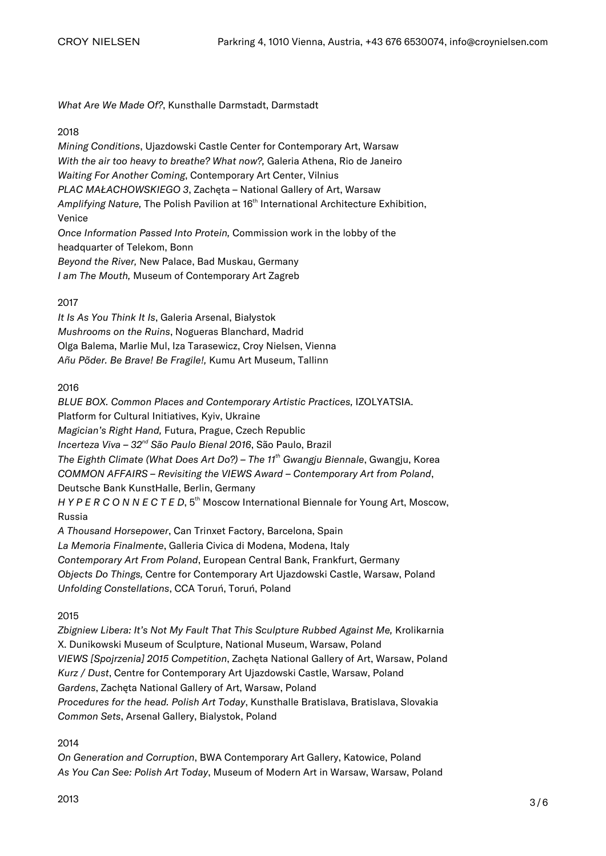What Are We Made Of?, Kunsthalle Darmstadt, Darmstadt

## 2018

Mining Conditions, Ujazdowski Castle Center for Contemporary Art, Warsaw With the air too heavy to breathe? What now?, Galeria Athena, Rio de Janeiro Waiting For Another Coming, Contemporary Art Center, Vilnius PLAC MAŁACHOWSKIEGO 3, Zachęta – National Gallery of Art, Warsaw Amplifying Nature, The Polish Pavilion at 16<sup>th</sup> International Architecture Exhibition, Venice Once Information Passed Into Protein, Commission work in the lobby of the headquarter of Telekom, Bonn Beyond the River, New Palace, Bad Muskau, Germany I am The Mouth, Museum of Contemporary Art Zagreb

# 2017

It Is As You Think It Is, Galeria Arsenal, Białystok Mushrooms on the Ruins, Nogueras Blanchard, Madrid [Olga Balema, Marlie Mul, Iza Tarasewicz, Croy Nielsen, Vienna](https://croynielsen.com/exhibitions/olga-balema-marlie-mul-iza-tarasewicz/) Añu Põder. Be Brave! Be Fragile!, Kumu Art Museum, Tallinn

2016

BLUE BOX. Common Places and Contemporary Artistic Practices, IZOLYATSIA. Platform for Cultural Initiatives, Kyiv, Ukraine Magician's Right Hand, Futura, Prague, Czech Republic Incerteza Viva - 32<sup>nd</sup> São Paulo Bienal 2016, São Paulo, Brazil The Eighth Climate (What Does Art Do?) – The 11<sup>th</sup> Gwangju Biennale, Gwangju, Korea COMMON AFFAIRS – Revisiting the VIEWS Award – Contemporary Art from Poland, Deutsche Bank KunstHalle, Berlin, Germany H Y P E R C O N N E C T E D, 5<sup>th</sup> Moscow International Biennale for Young Art, Moscow, Russia A Thousand Horsepower, Can Trinxet Factory, Barcelona, Spain La Memoria Finalmente, Galleria Civica di Modena, Modena, Italy Contemporary Art From Poland, European Central Bank, Frankfurt, Germany Objects Do Things, Centre for Contemporary Art Ujazdowski Castle, Warsaw, Poland

Unfolding Constellations, CCA Toruń, Toruń, Poland

# 2015

Zbigniew Libera: It's Not My Fault That This Sculpture Rubbed Against Me, Krolikarnia X. Dunikowski Museum of Sculpture, National Museum, Warsaw, Poland VIEWS [Spojrzenia] 2015 Competition, Zachęta National Gallery of Art, Warsaw, Poland Kurz / Dust, Centre for Contemporary Art Ujazdowski Castle, Warsaw, Poland Gardens, Zachęta National Gallery of Art, Warsaw, Poland Procedures for the head. Polish Art Today, Kunsthalle Bratislava, Bratislava, Slovakia Common Sets, Arsenał Gallery, Bialystok, Poland

2014

On Generation and Corruption, BWA Contemporary Art Gallery, Katowice, Poland As You Can See: Polish Art Today, Museum of Modern Art in Warsaw, Warsaw, Poland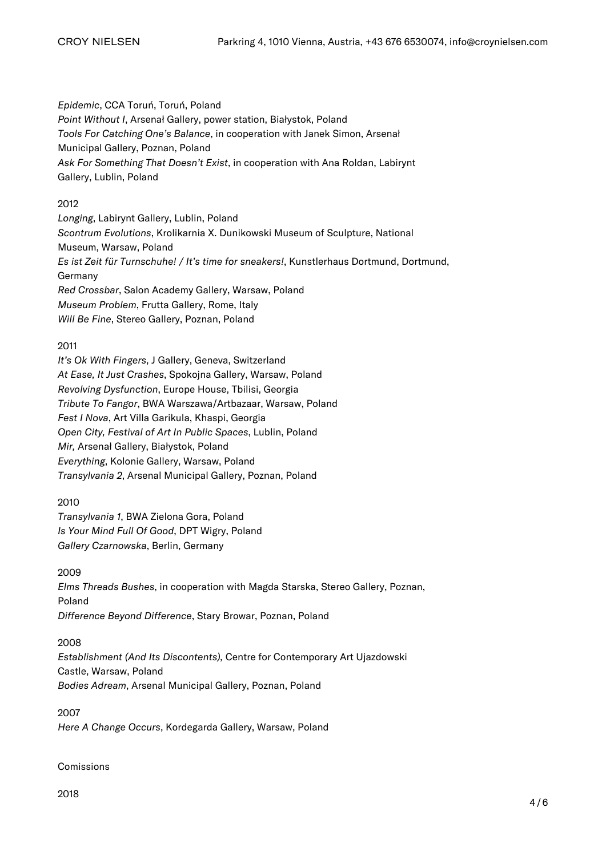Epidemic, CCA Toruń, Toruń, Poland Point Without I, Arsenał Gallery, power station, Białystok, Poland Tools For Catching One's Balance, in cooperation with Janek Simon, Arsenał Municipal Gallery, Poznan, Poland Ask For Something That Doesn't Exist, in cooperation with Ana Roldan, Labirynt Gallery, Lublin, Poland

# 2012

Longing, Labirynt Gallery, Lublin, Poland Scontrum Evolutions, Krolikarnia X. Dunikowski Museum of Sculpture, National Museum, Warsaw, Poland Es ist Zeit für Turnschuhe! / It's time for sneakers!, Kunstlerhaus Dortmund, Dortmund, Germany Red Crossbar, Salon Academy Gallery, Warsaw, Poland Museum Problem, Frutta Gallery, Rome, Italy Will Be Fine, Stereo Gallery, Poznan, Poland

## 2011

It's Ok With Fingers, J Gallery, Geneva, Switzerland At Ease, It Just Crashes, Spokojna Gallery, Warsaw, Poland Revolving Dysfunction, Europe House, Tbilisi, Georgia Tribute To Fangor, BWA Warszawa/Artbazaar, Warsaw, Poland Fest I Nova, Art Villa Garikula, Khaspi, Georgia Open City, Festival of Art In Public Spaces, Lublin, Poland Mir, Arsenał Gallery, Białystok, Poland Everything, Kolonie Gallery, Warsaw, Poland Transylvania 2, Arsenal Municipal Gallery, Poznan, Poland

2010

Transylvania 1, BWA Zielona Gora, Poland Is Your Mind Full Of Good, DPT Wigry, Poland Gallery Czarnowska, Berlin, Germany

2009 Elms Threads Bushes, in cooperation with Magda Starska, Stereo Gallery, Poznan, Poland Difference Beyond Difference, Stary Browar, Poznan, Poland

## 2008

Establishment (And Its Discontents), Centre for Contemporary Art Ujazdowski Castle, Warsaw, Poland Bodies Adream, Arsenal Municipal Gallery, Poznan, Poland

2007 Here A Change Occurs, Kordegarda Gallery, Warsaw, Poland

Comissions

2018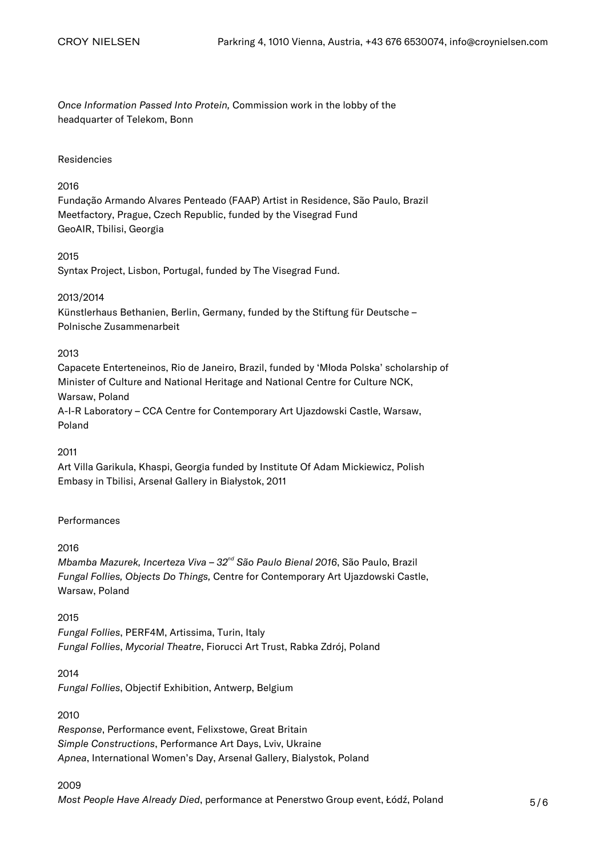Once Information Passed Into Protein, Commission work in the lobby of the headquarter of Telekom, Bonn

#### Residencies

#### 2016

Fundação Armando Alvares Penteado (FAAP) Artist in Residence, São Paulo, Brazil Meetfactory, Prague, Czech Republic, funded by the Visegrad Fund GeoAIR, Tbilisi, Georgia

#### 2015

Syntax Project, Lisbon, Portugal, funded by The Visegrad Fund.

#### 2013/2014

Künstlerhaus Bethanien, Berlin, Germany, funded by the Stiftung für Deutsche – Polnische Zusammenarbeit

## 2013

Capacete Enterteneinos, Rio de Janeiro, Brazil, funded by 'Młoda Polska' scholarship of Minister of Culture and National Heritage and National Centre for Culture NCK, Warsaw, Poland A-I-R Laboratory – CCA Centre for Contemporary Art Ujazdowski Castle, Warsaw, Poland

#### 2011

Art Villa Garikula, Khaspi, Georgia funded by Institute Of Adam Mickiewicz, Polish Embasy in Tbilisi, Arsenał Gallery in Białystok, 2011

## Performances

#### 2016

Mbamba Mazurek, Incerteza Viva - 32<sup>nd</sup> São Paulo Bienal 2016, São Paulo, Brazil Fungal Follies, Objects Do Things, Centre for Contemporary Art Ujazdowski Castle, Warsaw, Poland

#### 2015

Fungal Follies, PERF4M, Artissima, Turin, Italy Fungal Follies, Mycorial Theatre, Fiorucci Art Trust, Rabka Zdrój, Poland

#### 2014

Fungal Follies, Objectif Exhibition, Antwerp, Belgium

## 2010

Response, Performance event, Felixstowe, Great Britain Simple Constructions, Performance Art Days, Lviv, Ukraine Apnea, International Women's Day, Arsenał Gallery, Bialystok, Poland

#### 2009

Most People Have Already Died, performance at Penerstwo Group event, Łódź, Poland